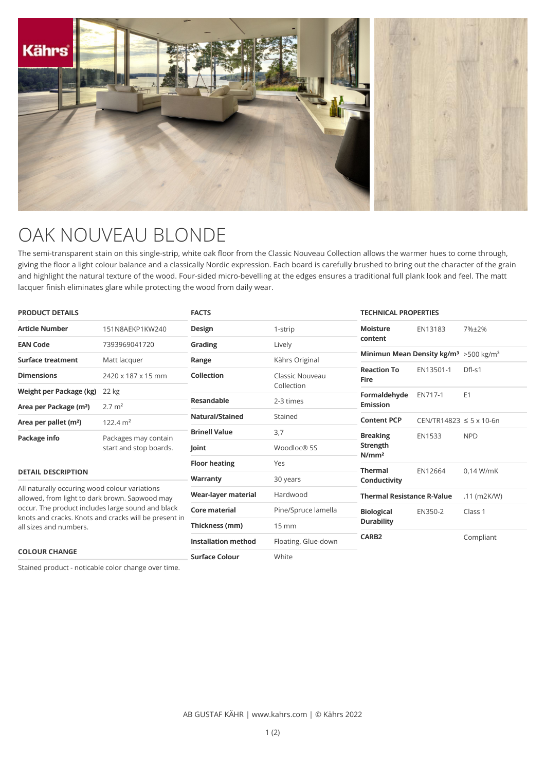

## OAK NOUVEAU BLONDE

The semi-transparent stain on this single-strip, white oak floor from the Classic Nouveau Collection allows the warmer hues to come through, giving the floor a light colour balance and a classically Nordic expression. Each board is carefully brushed to bring out the character of the grain and highlight the natural texture of the wood. Four-sided micro-bevelling at the edges ensures a traditional full plank look and feel. The matt lacquer finish eliminates glare while protecting the wood from daily wear.

| <b>PRODUCT DETAILS</b>                                                                                                                                                                                                                  |                                                | <b>FACTS</b>               |                     | <b>TECHNICAL PROPERTIES</b>                                    |                                  |                |
|-----------------------------------------------------------------------------------------------------------------------------------------------------------------------------------------------------------------------------------------|------------------------------------------------|----------------------------|---------------------|----------------------------------------------------------------|----------------------------------|----------------|
| Article Number                                                                                                                                                                                                                          | 151N8AEKP1KW240                                | Design                     | 1-strip             | <b>Moisture</b>                                                | EN13183                          | 7%±2%          |
| <b>EAN Code</b>                                                                                                                                                                                                                         | 7393969041720                                  | Grading                    | Lively              | content                                                        |                                  |                |
| Surface treatment                                                                                                                                                                                                                       | Matt lacquer                                   | Range                      | Kährs Original      | Minimun Mean Density kg/m <sup>3</sup> > 500 kg/m <sup>3</sup> |                                  |                |
| <b>Dimensions</b>                                                                                                                                                                                                                       | 2420 x 187 x 15 mm                             | Collection                 | Classic Nouveau     | <b>Reaction To</b><br><b>Fire</b>                              | EN13501-1                        | Dfl-s1         |
| Weight per Package (kg)                                                                                                                                                                                                                 | 22 kg                                          |                            | Collection          | Formaldehyde<br><b>Emission</b>                                | EN717-1                          | E <sub>1</sub> |
| Area per Package (m <sup>2</sup> )                                                                                                                                                                                                      | $2.7 \text{ m}^2$                              | <b>Resandable</b>          | 2-3 times           |                                                                |                                  |                |
| Area per pallet (m <sup>2</sup> )                                                                                                                                                                                                       | 122.4 $m2$                                     | <b>Natural/Stained</b>     | Stained             | <b>Content PCP</b>                                             | $CEN/TR14823 \le 5 \times 10-6n$ |                |
| Package info                                                                                                                                                                                                                            | Packages may contain<br>start and stop boards. | <b>Brinell Value</b>       | 3,7                 | <b>Breaking</b><br>Strength<br>N/mm <sup>2</sup>               | <b>EN1533</b>                    | <b>NPD</b>     |
|                                                                                                                                                                                                                                         |                                                | Joint                      | Woodloc® 5S         |                                                                |                                  |                |
|                                                                                                                                                                                                                                         |                                                | <b>Floor heating</b>       | Yes                 |                                                                |                                  |                |
| <b>DETAIL DESCRIPTION</b>                                                                                                                                                                                                               |                                                | Warranty                   | 30 years            | <b>Thermal</b><br>Conductivity                                 | EN12664                          | $0.14$ W/mK    |
| All naturally occuring wood colour variations<br>allowed, from light to dark brown. Sapwood may<br>occur. The product includes large sound and black<br>knots and cracks. Knots and cracks will be present in<br>all sizes and numbers. |                                                | Wear-layer material        | Hardwood            | <b>Thermal Resistance R-Value</b>                              |                                  | $.11$ (m2K/W)  |
|                                                                                                                                                                                                                                         |                                                | Core material              | Pine/Spruce lamella | <b>Biological</b><br>EN350-2                                   | Class 1                          |                |
|                                                                                                                                                                                                                                         |                                                | Thickness (mm)             | 15 mm               | <b>Durability</b>                                              |                                  |                |
|                                                                                                                                                                                                                                         |                                                | <b>Installation method</b> | Floating, Glue-down | CARB <sub>2</sub>                                              |                                  | Compliant      |
| <b>COLOUR CHANGE</b>                                                                                                                                                                                                                    |                                                | <b>Surface Colour</b>      | White               |                                                                |                                  |                |

Stained product - noticable color change over time.